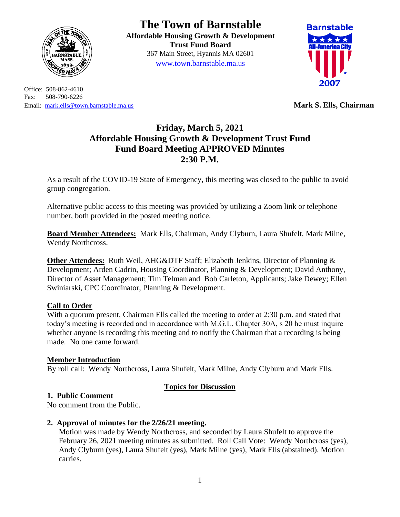

Office: 508-862-4610 Fax: 508-790-6226 Email: [mark.ells@town.barnstable.ma.us](mailto:mark.ells@town.barnstable.ma.us) **Mark S. Ells, Chairman**

# **The Town of Barnstable**

**Affordable Housing Growth & Development Trust Fund Board**  367 Main Street, Hyannis MA 02601 [www.town.barnstable.ma.us](http://www.town.barnstable.ma.us/)



# **Friday, March 5, 2021 Affordable Housing Growth & Development Trust Fund Fund Board Meeting APPROVED Minutes 2:30 P.M.**

As a result of the COVID-19 State of Emergency, this meeting was closed to the public to avoid group congregation.

Alternative public access to this meeting was provided by utilizing a Zoom link or telephone number, both provided in the posted meeting notice.

**Board Member Attendees:** Mark Ells, Chairman, Andy Clyburn, Laura Shufelt, Mark Milne, Wendy Northcross.

**Other Attendees:** Ruth Weil, AHG&DTF Staff; Elizabeth Jenkins, Director of Planning & Development; Arden Cadrin, Housing Coordinator, Planning & Development; David Anthony, Director of Asset Management; Tim Telman and Bob Carleton, Applicants; Jake Dewey; Ellen Swiniarski, CPC Coordinator, Planning & Development.

# **Call to Order**

With a quorum present, Chairman Ells called the meeting to order at 2:30 p.m. and stated that today's meeting is recorded and in accordance with M.G.L. Chapter 30A, s 20 he must inquire whether anyone is recording this meeting and to notify the Chairman that a recording is being made. No one came forward.

#### **Member Introduction**

By roll call: Wendy Northcross, Laura Shufelt, Mark Milne, Andy Clyburn and Mark Ells.

# **Topics for Discussion**

#### **1. Public Comment**

No comment from the Public.

# **2. Approval of minutes for the 2/26/21 meeting.**

Motion was made by Wendy Northcross, and seconded by Laura Shufelt to approve the February 26, 2021 meeting minutes as submitted. Roll Call Vote: Wendy Northcross (yes), Andy Clyburn (yes), Laura Shufelt (yes), Mark Milne (yes), Mark Ells (abstained). Motion carries.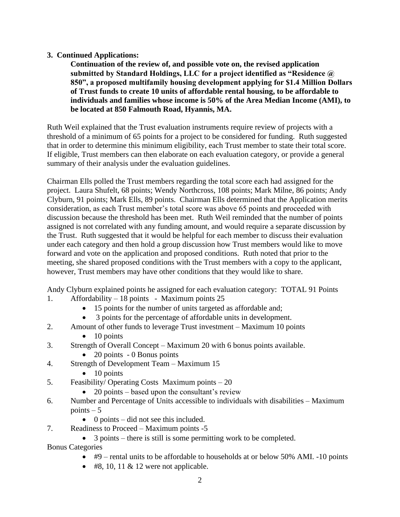#### **3. Continued Applications:**

**Continuation of the review of, and possible vote on, the revised application submitted by Standard Holdings, LLC for a project identified as "Residence @ 850", a proposed multifamily housing development applying for \$1.4 Million Dollars of Trust funds to create 10 units of affordable rental housing, to be affordable to individuals and families whose income is 50% of the Area Median Income (AMI), to be located at 850 Falmouth Road, Hyannis, MA.** 

Ruth Weil explained that the Trust evaluation instruments require review of projects with a threshold of a minimum of 65 points for a project to be considered for funding. Ruth suggested that in order to determine this minimum eligibility, each Trust member to state their total score. If eligible, Trust members can then elaborate on each evaluation category, or provide a general summary of their analysis under the evaluation guidelines.

Chairman Ells polled the Trust members regarding the total score each had assigned for the project. Laura Shufelt, 68 points; Wendy Northcross, 108 points; Mark Milne, 86 points; Andy Clyburn, 91 points; Mark Ells, 89 points. Chairman Ells determined that the Application merits consideration, as each Trust member's total score was above 65 points and proceeded with discussion because the threshold has been met. Ruth Weil reminded that the number of points assigned is not correlated with any funding amount, and would require a separate discussion by the Trust. Ruth suggested that it would be helpful for each member to discuss their evaluation under each category and then hold a group discussion how Trust members would like to move forward and vote on the application and proposed conditions. Ruth noted that prior to the meeting, she shared proposed conditions with the Trust members with a copy to the applicant, however, Trust members may have other conditions that they would like to share.

Andy Clyburn explained points he assigned for each evaluation category: TOTAL 91 Points 1. Affordability – 18 points - Maximum points 25

- 15 points for the number of units targeted as affordable and;
- 3 points for the percentage of affordable units in development.
- 2. Amount of other funds to leverage Trust investment Maximum 10 points
	- $\bullet$  10 points
- 3. Strength of Overall Concept Maximum 20 with 6 bonus points available.
	- 20 points 0 Bonus points
- 4. Strength of Development Team Maximum 15
	- $\bullet$  10 points
- 5. Feasibility/ Operating Costs Maximum points 20
	- 20 points based upon the consultant's review
- 6. Number and Percentage of Units accessible to individuals with disabilities Maximum points  $-5$ 
	- 0 points did not see this included.
- 7. Readiness to Proceed Maximum points -5
	- 3 points there is still is some permitting work to be completed.

Bonus Categories

- #9 rental units to be affordable to households at or below 50% AMI. -10 points
- $\bullet$  #8, 10, 11 & 12 were not applicable.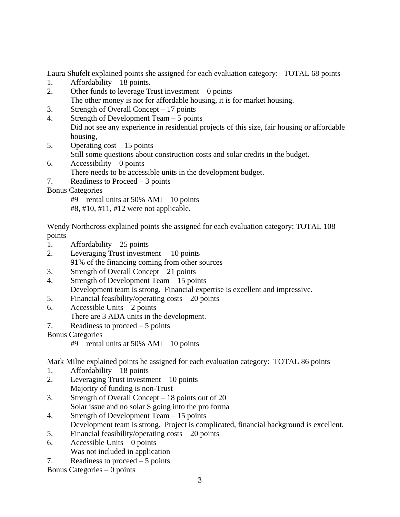Laura Shufelt explained points she assigned for each evaluation category: TOTAL 68 points

- 1. Affordability 18 points.
- 2. Other funds to leverage Trust investment 0 points The other money is not for affordable housing, it is for market housing.
- 3. Strength of Overall Concept 17 points
- 4. Strength of Development Team 5 points Did not see any experience in residential projects of this size, fair housing or affordable housing,
- 5. Operating cost 15 points
	- Still some questions about construction costs and solar credits in the budget.
- 6. Accessibility 0 points There needs to be accessible units in the development budget.
- 7. Readiness to Proceed 3 points
- Bonus Categories

#9 – rental units at 50% AMI – 10 points

#8, #10, #11, #12 were not applicable.

Wendy Northcross explained points she assigned for each evaluation category: TOTAL 108 points

- 1. Affordability  $-25$  points
- 2. Leveraging Trust investment 10 points 91% of the financing coming from other sources
- 3. Strength of Overall Concept 21 points
- 4. Strength of Development Team 15 points Development team is strong. Financial expertise is excellent and impressive.
- 5. Financial feasibility/operating costs 20 points
- 6. Accessible Units  $-2$  points There are 3 ADA units in the development.
- 7. Readiness to proceed 5 points

Bonus Categories

#9 – rental units at 50% AMI – 10 points

Mark Milne explained points he assigned for each evaluation category: TOTAL 86 points

- 1. Affordability 18 points
- 2. Leveraging Trust investment 10 points Majority of funding is non-Trust
- 3. Strength of Overall Concept 18 points out of 20 Solar issue and no solar \$ going into the pro forma
- 4. Strength of Development Team 15 points
	- Development team is strong. Project is complicated, financial background is excellent.
- 5. Financial feasibility/operating costs 20 points
- 6. Accessible Units  $-0$  points
	- Was not included in application
- 7. Readiness to proceed 5 points

Bonus Categories – 0 points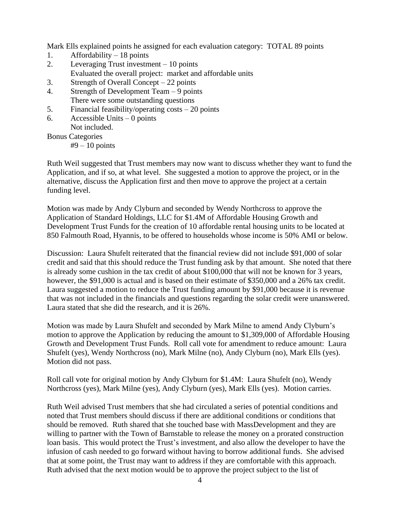Mark Ells explained points he assigned for each evaluation category: TOTAL 89 points

- 1. Affordability 18 points
- 2. Leveraging Trust investment 10 points
- Evaluated the overall project: market and affordable units
- 3. Strength of Overall Concept 22 points
- 4. Strength of Development Team 9 points There were some outstanding questions
- 5. Financial feasibility/operating costs 20 points
- 6. Accessible Units  $-0$  points

Not included. Bonus Categories

 $#9 - 10$  points

Ruth Weil suggested that Trust members may now want to discuss whether they want to fund the Application, and if so, at what level. She suggested a motion to approve the project, or in the alternative, discuss the Application first and then move to approve the project at a certain funding level.

Motion was made by Andy Clyburn and seconded by Wendy Northcross to approve the Application of Standard Holdings, LLC for \$1.4M of Affordable Housing Growth and Development Trust Funds for the creation of 10 affordable rental housing units to be located at 850 Falmouth Road, Hyannis, to be offered to households whose income is 50% AMI or below.

Discussion: Laura Shufelt reiterated that the financial review did not include \$91,000 of solar credit and said that this should reduce the Trust funding ask by that amount. She noted that there is already some cushion in the tax credit of about \$100,000 that will not be known for 3 years, however, the \$91,000 is actual and is based on their estimate of \$350,000 and a 26% tax credit. Laura suggested a motion to reduce the Trust funding amount by \$91,000 because it is revenue that was not included in the financials and questions regarding the solar credit were unanswered. Laura stated that she did the research, and it is 26%.

Motion was made by Laura Shufelt and seconded by Mark Milne to amend Andy Clyburn's motion to approve the Application by reducing the amount to \$1,309,000 of Affordable Housing Growth and Development Trust Funds. Roll call vote for amendment to reduce amount: Laura Shufelt (yes), Wendy Northcross (no), Mark Milne (no), Andy Clyburn (no), Mark Ells (yes). Motion did not pass.

Roll call vote for original motion by Andy Clyburn for \$1.4M: Laura Shufelt (no), Wendy Northcross (yes), Mark Milne (yes), Andy Clyburn (yes), Mark Ells (yes). Motion carries.

Ruth Weil advised Trust members that she had circulated a series of potential conditions and noted that Trust members should discuss if there are additional conditions or conditions that should be removed. Ruth shared that she touched base with MassDevelopment and they are willing to partner with the Town of Barnstable to release the money on a prorated construction loan basis. This would protect the Trust's investment, and also allow the developer to have the infusion of cash needed to go forward without having to borrow additional funds. She advised that at some point, the Trust may want to address if they are comfortable with this approach. Ruth advised that the next motion would be to approve the project subject to the list of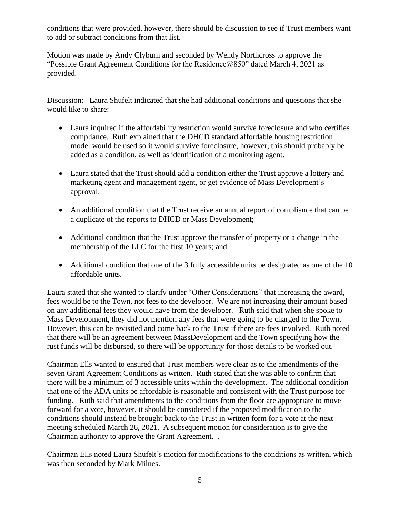conditions that were provided, however, there should be discussion to see if Trust members want to add or subtract conditions from that list.

Motion was made by Andy Clyburn and seconded by Wendy Northcross to approve the "Possible Grant Agreement Conditions for the Residence@850" dated March 4, 2021 as provided.

Discussion: Laura Shufelt indicated that she had additional conditions and questions that she would like to share:

- Laura inquired if the affordability restriction would survive foreclosure and who certifies compliance. Ruth explained that the DHCD standard affordable housing restriction model would be used so it would survive foreclosure, however, this should probably be added as a condition, as well as identification of a monitoring agent.
- Laura stated that the Trust should add a condition either the Trust approve a lottery and marketing agent and management agent, or get evidence of Mass Development's approval;
- An additional condition that the Trust receive an annual report of compliance that can be a duplicate of the reports to DHCD or Mass Development;
- Additional condition that the Trust approve the transfer of property or a change in the membership of the LLC for the first 10 years; and
- Additional condition that one of the 3 fully accessible units be designated as one of the 10 affordable units.

Laura stated that she wanted to clarify under "Other Considerations" that increasing the award, fees would be to the Town, not fees to the developer. We are not increasing their amount based on any additional fees they would have from the developer. Ruth said that when she spoke to Mass Development, they did not mention any fees that were going to be charged to the Town. However, this can be revisited and come back to the Trust if there are fees involved. Ruth noted that there will be an agreement between MassDevelopment and the Town specifying how the rust funds will be disbursed, so there will be opportunity for those details to be worked out.

Chairman Ells wanted to ensured that Trust members were clear as to the amendments of the seven Grant Agreement Conditions as written. Ruth stated that she was able to confirm that there will be a minimum of 3 accessible units within the development. The additional condition that one of the ADA units be affordable is reasonable and consistent with the Trust purpose for funding. Ruth said that amendments to the conditions from the floor are appropriate to move forward for a vote, however, it should be considered if the proposed modification to the conditions should instead be brought back to the Trust in written form for a vote at the next meeting scheduled March 26, 2021. A subsequent motion for consideration is to give the Chairman authority to approve the Grant Agreement. .

Chairman Ells noted Laura Shufelt's motion for modifications to the conditions as written, which was then seconded by Mark Milnes.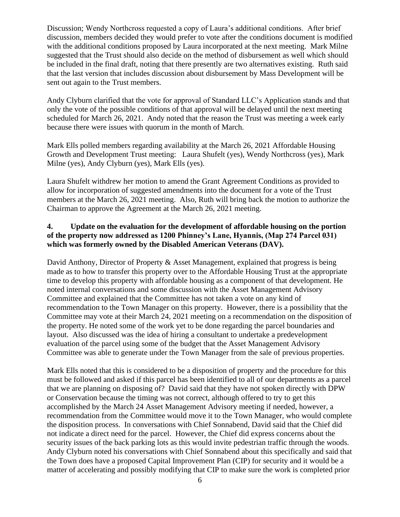Discussion; Wendy Northcross requested a copy of Laura's additional conditions. After brief discussion, members decided they would prefer to vote after the conditions document is modified with the additional conditions proposed by Laura incorporated at the next meeting. Mark Milne suggested that the Trust should also decide on the method of disbursement as well which should be included in the final draft, noting that there presently are two alternatives existing. Ruth said that the last version that includes discussion about disbursement by Mass Development will be sent out again to the Trust members.

Andy Clyburn clarified that the vote for approval of Standard LLC's Application stands and that only the vote of the possible conditions of that approval will be delayed until the next meeting scheduled for March 26, 2021. Andy noted that the reason the Trust was meeting a week early because there were issues with quorum in the month of March.

Mark Ells polled members regarding availability at the March 26, 2021 Affordable Housing Growth and Development Trust meeting: Laura Shufelt (yes), Wendy Northcross (yes), Mark Milne (yes), Andy Clyburn (yes), Mark Ells (yes).

Laura Shufelt withdrew her motion to amend the Grant Agreement Conditions as provided to allow for incorporation of suggested amendments into the document for a vote of the Trust members at the March 26, 2021 meeting. Also, Ruth will bring back the motion to authorize the Chairman to approve the Agreement at the March 26, 2021 meeting.

#### **4. Update on the evaluation for the development of affordable housing on the portion of the property now addressed as 1200 Phinney's Lane, Hyannis, (Map 274 Parcel 031) which was formerly owned by the Disabled American Veterans (DAV).**

David Anthony, Director of Property & Asset Management, explained that progress is being made as to how to transfer this property over to the Affordable Housing Trust at the appropriate time to develop this property with affordable housing as a component of that development. He noted internal conversations and some discussion with the Asset Management Advisory Committee and explained that the Committee has not taken a vote on any kind of recommendation to the Town Manager on this property. However, there is a possibility that the Committee may vote at their March 24, 2021 meeting on a recommendation on the disposition of the property. He noted some of the work yet to be done regarding the parcel boundaries and layout. Also discussed was the idea of hiring a consultant to undertake a predevelopment evaluation of the parcel using some of the budget that the Asset Management Advisory Committee was able to generate under the Town Manager from the sale of previous properties.

Mark Ells noted that this is considered to be a disposition of property and the procedure for this must be followed and asked if this parcel has been identified to all of our departments as a parcel that we are planning on disposing of? David said that they have not spoken directly with DPW or Conservation because the timing was not correct, although offered to try to get this accomplished by the March 24 Asset Management Advisory meeting if needed, however, a recommendation from the Committee would move it to the Town Manager, who would complete the disposition process. In conversations with Chief Sonnabend, David said that the Chief did not indicate a direct need for the parcel. However, the Chief did express concerns about the security issues of the back parking lots as this would invite pedestrian traffic through the woods. Andy Clyburn noted his conversations with Chief Sonnabend about this specifically and said that the Town does have a proposed Capital Improvement Plan (CIP) for security and it would be a matter of accelerating and possibly modifying that CIP to make sure the work is completed prior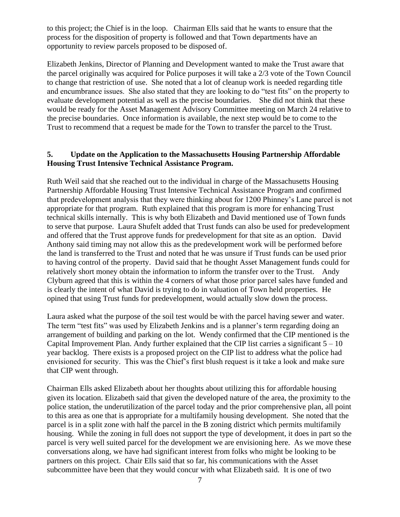to this project; the Chief is in the loop. Chairman Ells said that he wants to ensure that the process for the disposition of property is followed and that Town departments have an opportunity to review parcels proposed to be disposed of.

Elizabeth Jenkins, Director of Planning and Development wanted to make the Trust aware that the parcel originally was acquired for Police purposes it will take a 2/3 vote of the Town Council to change that restriction of use. She noted that a lot of cleanup work is needed regarding title and encumbrance issues. She also stated that they are looking to do "test fits" on the property to evaluate development potential as well as the precise boundaries. She did not think that these would be ready for the Asset Management Advisory Committee meeting on March 24 relative to the precise boundaries. Once information is available, the next step would be to come to the Trust to recommend that a request be made for the Town to transfer the parcel to the Trust.

#### **5. Update on the Application to the Massachusetts Housing Partnership Affordable Housing Trust Intensive Technical Assistance Program.**

Ruth Weil said that she reached out to the individual in charge of the Massachusetts Housing Partnership Affordable Housing Trust Intensive Technical Assistance Program and confirmed that predevelopment analysis that they were thinking about for 1200 Phinney's Lane parcel is not appropriate for that program. Ruth explained that this program is more for enhancing Trust technical skills internally. This is why both Elizabeth and David mentioned use of Town funds to serve that purpose. Laura Shufelt added that Trust funds can also be used for predevelopment and offered that the Trust approve funds for predevelopment for that site as an option. David Anthony said timing may not allow this as the predevelopment work will be performed before the land is transferred to the Trust and noted that he was unsure if Trust funds can be used prior to having control of the property. David said that he thought Asset Management funds could for relatively short money obtain the information to inform the transfer over to the Trust. Andy Clyburn agreed that this is within the 4 corners of what those prior parcel sales have funded and is clearly the intent of what David is trying to do in valuation of Town held properties. He opined that using Trust funds for predevelopment, would actually slow down the process.

Laura asked what the purpose of the soil test would be with the parcel having sewer and water. The term "test fits" was used by Elizabeth Jenkins and is a planner's term regarding doing an arrangement of building and parking on the lot. Wendy confirmed that the CIP mentioned is the Capital Improvement Plan. Andy further explained that the CIP list carries a significant  $5 - 10$ year backlog. There exists is a proposed project on the CIP list to address what the police had envisioned for security. This was the Chief's first blush request is it take a look and make sure that CIP went through.

Chairman Ells asked Elizabeth about her thoughts about utilizing this for affordable housing given its location. Elizabeth said that given the developed nature of the area, the proximity to the police station, the underutilization of the parcel today and the prior comprehensive plan, all point to this area as one that is appropriate for a multifamily housing development. She noted that the parcel is in a split zone with half the parcel in the B zoning district which permits multifamily housing. While the zoning in full does not support the type of development, it does in part so the parcel is very well suited parcel for the development we are envisioning here. As we move these conversations along, we have had significant interest from folks who might be looking to be partners on this project. Chair Ells said that so far, his communications with the Asset subcommittee have been that they would concur with what Elizabeth said. It is one of two